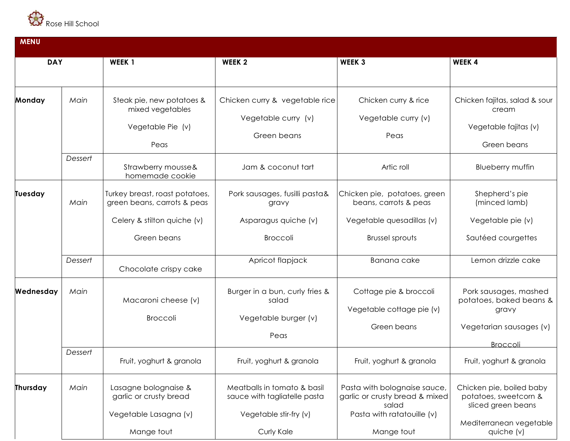

| <b>MENU</b> |         |                                                                            |                                                                                       |                                                                                                       |                                                                                                         |  |  |  |
|-------------|---------|----------------------------------------------------------------------------|---------------------------------------------------------------------------------------|-------------------------------------------------------------------------------------------------------|---------------------------------------------------------------------------------------------------------|--|--|--|
| <b>DAY</b>  |         | WEEK <sub>1</sub>                                                          | WEEK <sub>2</sub>                                                                     | WEEK 3                                                                                                | WEEK 4                                                                                                  |  |  |  |
| Monday      | Main    | Steak pie, new potatoes &<br>mixed vegetables<br>Vegetable Pie (v)<br>Peas | Chicken curry & vegetable rice<br>Vegetable curry (v)<br>Green beans                  | Chicken curry & rice<br>Vegetable curry (v)<br>Peas                                                   | Chicken fajitas, salad & sour<br>cream<br>Vegetable fajitas (v)<br>Green beans                          |  |  |  |
|             | Dessert | Strawberry mousse&<br>homemade cookie                                      | Jam & coconut tart                                                                    | Artic roll                                                                                            | Blueberry muffin                                                                                        |  |  |  |
| Tuesday     | Main    | Turkey breast, roast potatoes,<br>green beans, carrots & peas              | Pork sausages, fusilli pasta&<br>gravy                                                | Chicken pie, potatoes, green<br>beans, carrots & peas                                                 | Shepherd's pie<br>(minced lamb)                                                                         |  |  |  |
|             |         | Celery & stilton quiche (v)                                                | Asparagus quiche (v)                                                                  | Vegetable quesadillas (v)                                                                             | Vegetable pie (v)                                                                                       |  |  |  |
|             |         | Green beans                                                                | <b>Broccoli</b>                                                                       | Brussel sprouts                                                                                       | Sautéed courgettes                                                                                      |  |  |  |
|             | Dessert | Chocolate crispy cake                                                      | Apricot flapjack                                                                      | Banana cake                                                                                           | Lemon drizzle cake                                                                                      |  |  |  |
| Wednesday   | Main    | Macaroni cheese (v)<br>Broccoli                                            | Burger in a bun, curly fries &<br>salad<br>Vegetable burger (v)<br>Peas               | Cottage pie & broccoli<br>Vegetable cottage pie (v)<br>Green beans                                    | Pork sausages, mashed<br>potatoes, baked beans &<br>gravy<br>Vegetarian sausages (v)<br><b>Broccoli</b> |  |  |  |
|             | Dessert | Fruit, yoghurt & granola                                                   | Fruit, yoghurt & granola                                                              | Fruit, yoghurt & granola                                                                              | Fruit, yoghurt & granola                                                                                |  |  |  |
| Thursday    | Main    | Lasagne bolognaise &<br>garlic or crusty bread<br>Vegetable Lasagna (v)    | Meatballs in tomato & basil<br>sauce with tagliatelle pasta<br>Vegetable stir-fry (v) | Pasta with bolognaise sauce,<br>garlic or crusty bread & mixed<br>salad<br>Pasta with ratatouille (v) | Chicken pie, boiled baby<br>potatoes, sweetcorn &<br>sliced green beans                                 |  |  |  |
|             |         | Mange tout                                                                 | Curly Kale                                                                            | Mange tout                                                                                            | Mediterranean vegetable<br>quiche (v)                                                                   |  |  |  |